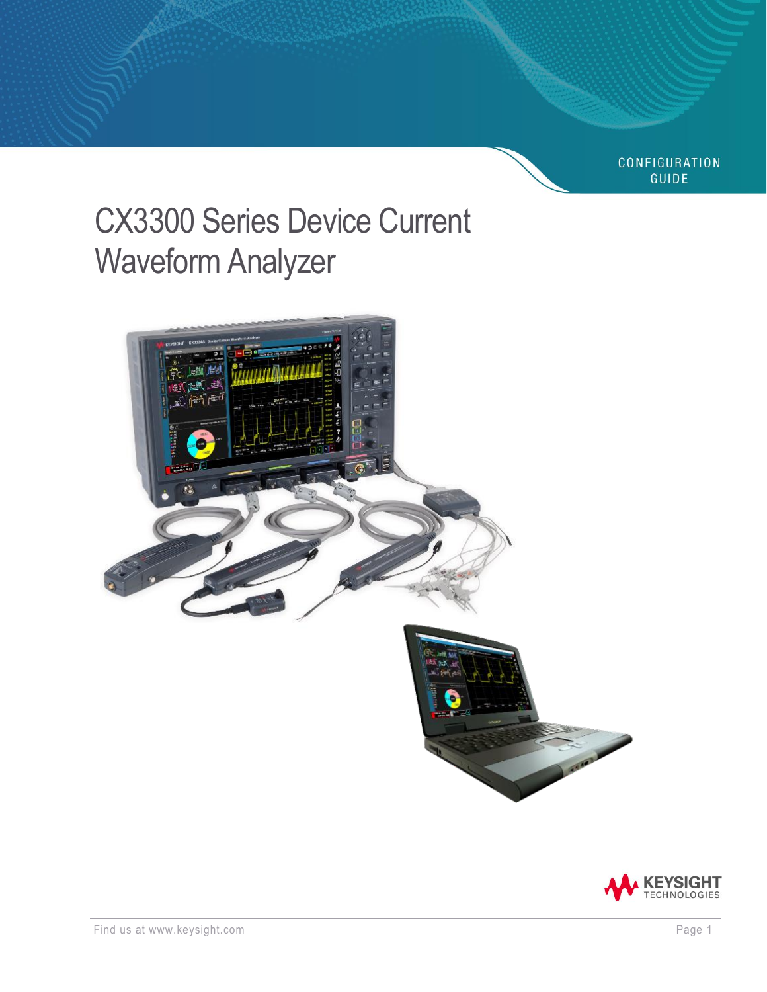**CONFIGURATION GUIDE** 

# CX3300 Series Device Current Waveform Analyzer



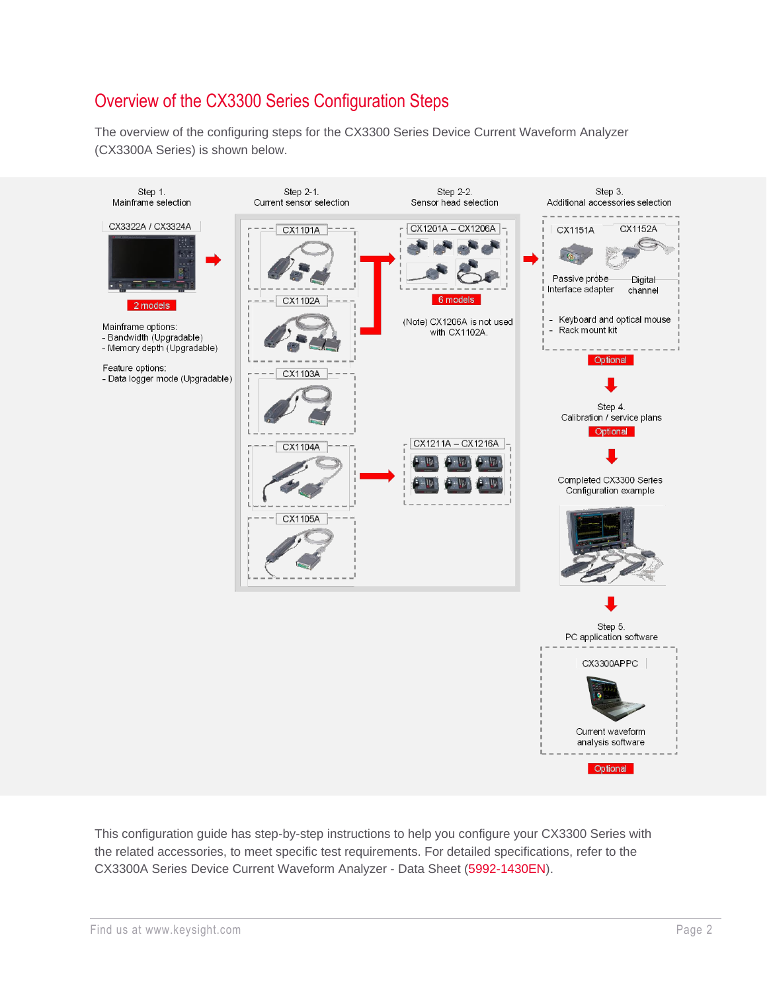# Overview of the CX3300 Series Configuration Steps

The overview of the configuring steps for the CX3300 Series Device Current Waveform Analyzer (CX3300A Series) is shown below.



This configuration guide has step-by-step instructions to help you configure your CX3300 Series with the related accessories, to meet specific test requirements. For detailed specifications, refer to the CX3300A Series Device Current Waveform Analyzer - Data Sheet [\(5992-1430EN\)](https://www.keysight.com/us/en/assets/7018-05167/data-sheets/5992-1430.pdf).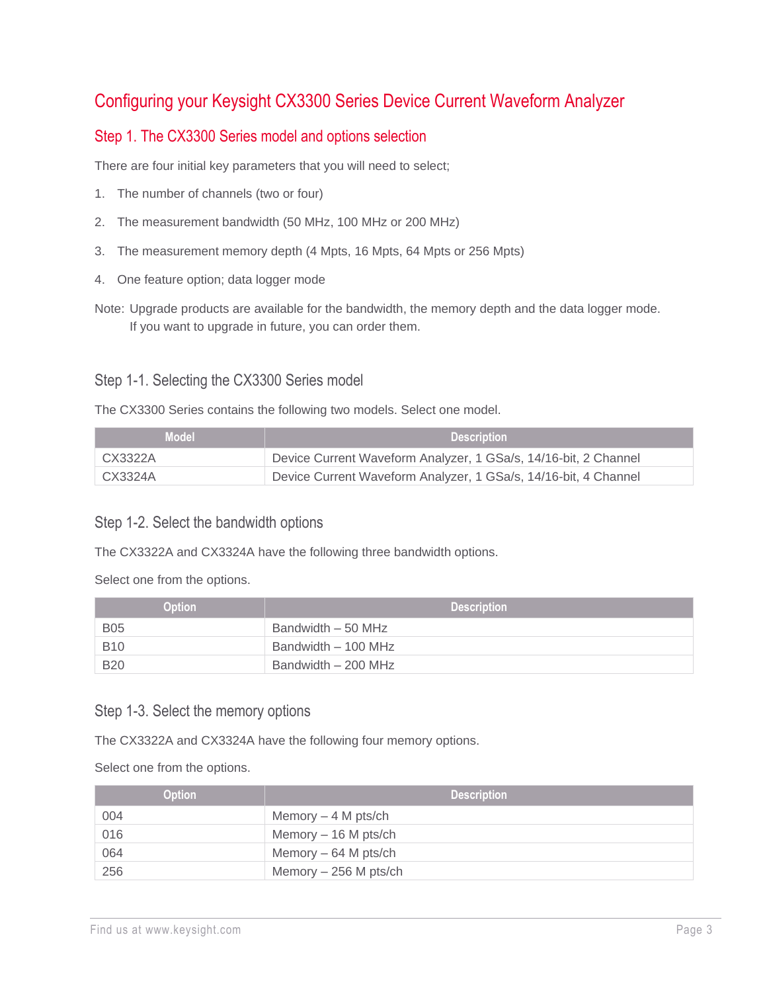# Configuring your Keysight CX3300 Series Device Current Waveform Analyzer

## Step 1. The CX3300 Series model and options selection

There are four initial key parameters that you will need to select;

- 1. The number of channels (two or four)
- 2. The measurement bandwidth (50 MHz, 100 MHz or 200 MHz)
- 3. The measurement memory depth (4 Mpts, 16 Mpts, 64 Mpts or 256 Mpts)
- 4. One feature option; data logger mode
- Note: Upgrade products are available for the bandwidth, the memory depth and the data logger mode. If you want to upgrade in future, you can order them.

#### Step 1-1. Selecting the CX3300 Series model

The CX3300 Series contains the following two models. Select one model.

| <b>Model</b> | <b>Description</b>                                              |
|--------------|-----------------------------------------------------------------|
| CX3322A      | Device Current Waveform Analyzer, 1 GSa/s, 14/16-bit, 2 Channel |
| CX3324A      | Device Current Waveform Analyzer, 1 GSa/s, 14/16-bit, 4 Channel |

#### Step 1-2. Select the bandwidth options

The CX3322A and CX3324A have the following three bandwidth options.

Select one from the options.

| <b>Option</b> | <b>Description</b>  |
|---------------|---------------------|
| <b>B05</b>    | Bandwidth – 50 MHz  |
| <b>B10</b>    | Bandwidth - 100 MHz |
| <b>B20</b>    | Bandwidth - 200 MHz |

#### Step 1-3. Select the memory options

The CX3322A and CX3324A have the following four memory options.

Select one from the options.

| <b>Option</b> | <b>Description</b>     |
|---------------|------------------------|
| 004           | Memory $-4$ M pts/ch   |
| 016           | Memory $-16$ M pts/ch  |
| 064           | Memory $-64$ M pts/ch  |
| 256           | Memory $-256$ M pts/ch |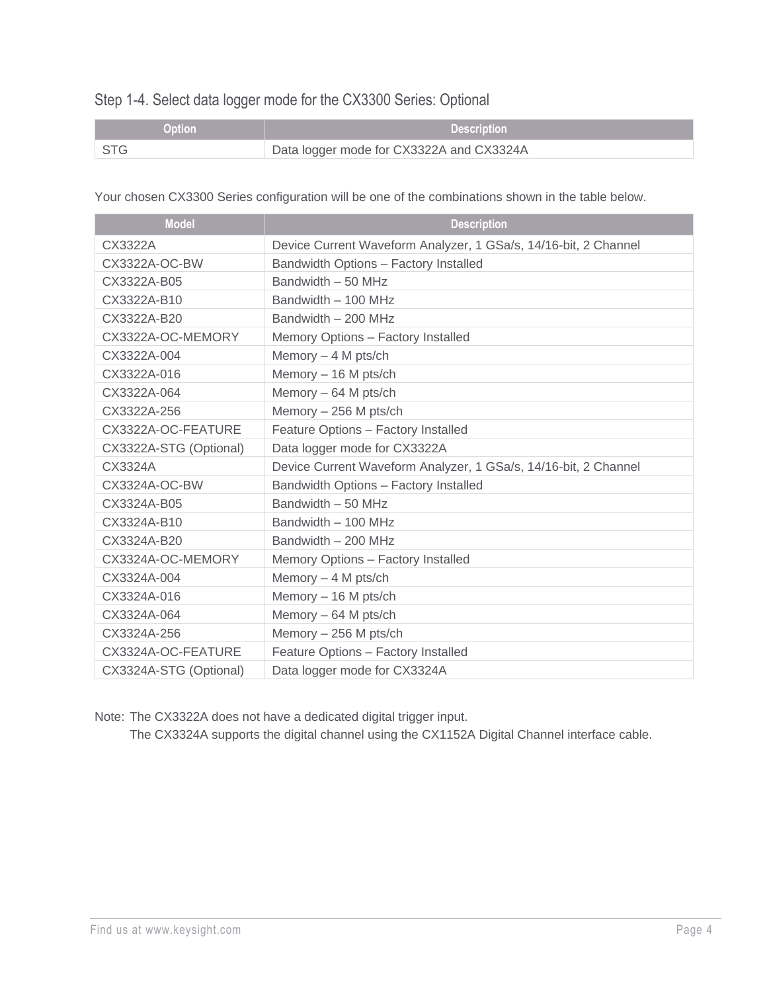# Step 1-4. Select data logger mode for the CX3300 Series: Optional

| <b>Option</b> | <b>Description</b>                       |
|---------------|------------------------------------------|
| ∣ STG         | Data logger mode for CX3322A and CX3324A |

Your chosen CX3300 Series configuration will be one of the combinations shown in the table below.

| <b>Model</b>           | <b>Description</b>                                              |
|------------------------|-----------------------------------------------------------------|
| CX3322A                | Device Current Waveform Analyzer, 1 GSa/s, 14/16-bit, 2 Channel |
| CX3322A-OC-BW          | Bandwidth Options - Factory Installed                           |
| CX3322A-B05            | Bandwidth - 50 MHz                                              |
| CX3322A-B10            | Bandwidth - 100 MHz                                             |
| CX3322A-B20            | Bandwidth - 200 MHz                                             |
| CX3322A-OC-MEMORY      | Memory Options - Factory Installed                              |
| CX3322A-004            | Memory $-4$ M pts/ch                                            |
| CX3322A-016            | Memory - 16 M pts/ch                                            |
| CX3322A-064            | Memory - 64 M pts/ch                                            |
| CX3322A-256            | Memory - 256 M pts/ch                                           |
| CX3322A-OC-FEATURE     | Feature Options - Factory Installed                             |
| CX3322A-STG (Optional) | Data logger mode for CX3322A                                    |
| CX3324A                | Device Current Waveform Analyzer, 1 GSa/s, 14/16-bit, 2 Channel |
| CX3324A-OC-BW          | Bandwidth Options - Factory Installed                           |
| CX3324A-B05            | Bandwidth - 50 MHz                                              |
| CX3324A-B10            | Bandwidth - 100 MHz                                             |
| CX3324A-B20            | Bandwidth - 200 MHz                                             |
| CX3324A-OC-MEMORY      | Memory Options - Factory Installed                              |
| CX3324A-004            | Memory $-4$ M pts/ch                                            |
| CX3324A-016            | Memory - 16 M pts/ch                                            |
| CX3324A-064            | Memory - 64 M pts/ch                                            |
| CX3324A-256            | Memory - 256 M pts/ch                                           |
| CX3324A-OC-FEATURE     | Feature Options - Factory Installed                             |
| CX3324A-STG (Optional) | Data logger mode for CX3324A                                    |

Note: The CX3322A does not have a dedicated digital trigger input.

The CX3324A supports the digital channel using the CX1152A Digital Channel interface cable.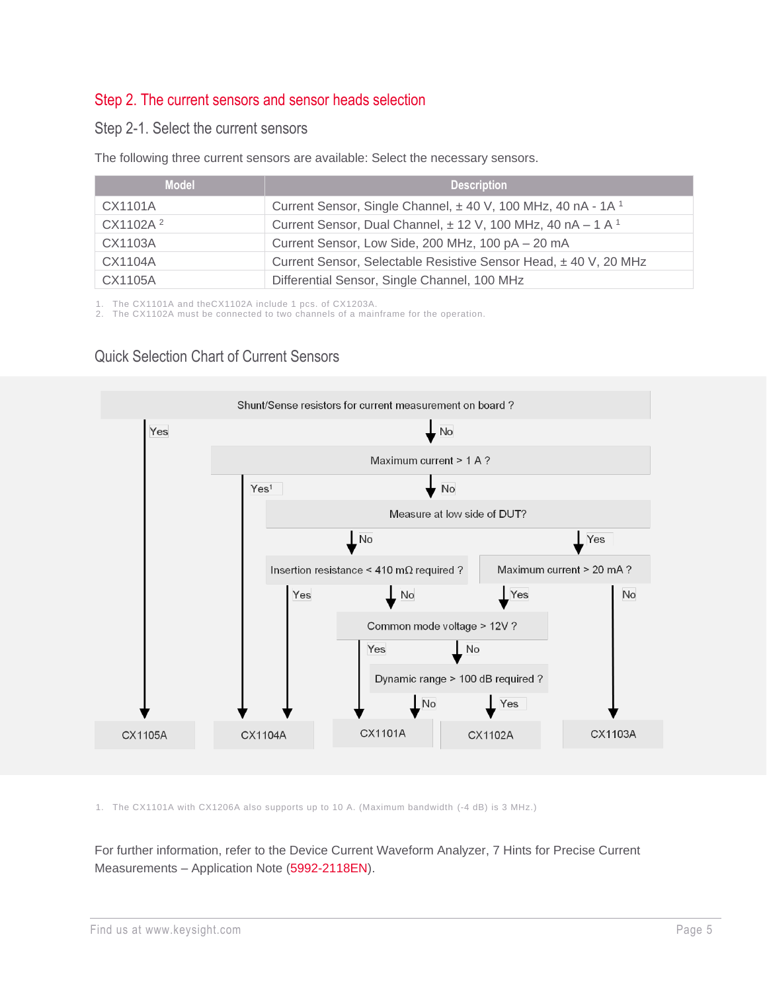## Step 2. The current sensors and sensor heads selection

#### Step 2-1. Select the current sensors

The following three current sensors are available: Select the necessary sensors.

| <b>Model</b>         | <b>Description</b>                                                          |
|----------------------|-----------------------------------------------------------------------------|
| CX1101A              | Current Sensor, Single Channel, ±40 V, 100 MHz, 40 nA - 1A <sup>1</sup>     |
| CX1102A <sup>2</sup> | Current Sensor, Dual Channel, $\pm$ 12 V, 100 MHz, 40 nA – 1 A <sup>1</sup> |
| CX1103A              | Current Sensor, Low Side, 200 MHz, 100 pA - 20 mA                           |
| CX1104A              | Current Sensor, Selectable Resistive Sensor Head, ±40 V, 20 MHz             |
| CX1105A              | Differential Sensor, Single Channel, 100 MHz                                |

1. The CX1101A and theCX1102A include 1 pcs. of CX1203A.

2. The CX1102A must be connected to two channels of a mainframe for the operation.

## Quick Selection Chart of Current Sensors



1. The CX1101A with CX1206A also supports up to 10 A. (Maximum bandwidth (-4 dB) is 3 MHz.)

For further information, refer to the Device Current Waveform Analyzer, 7 Hints for Precise Current Measurements – Application Note [\(5992-2118EN\)](https://www.keysight.com/us/en/assets/7018-05625/application-notes/5992-2118.pdf).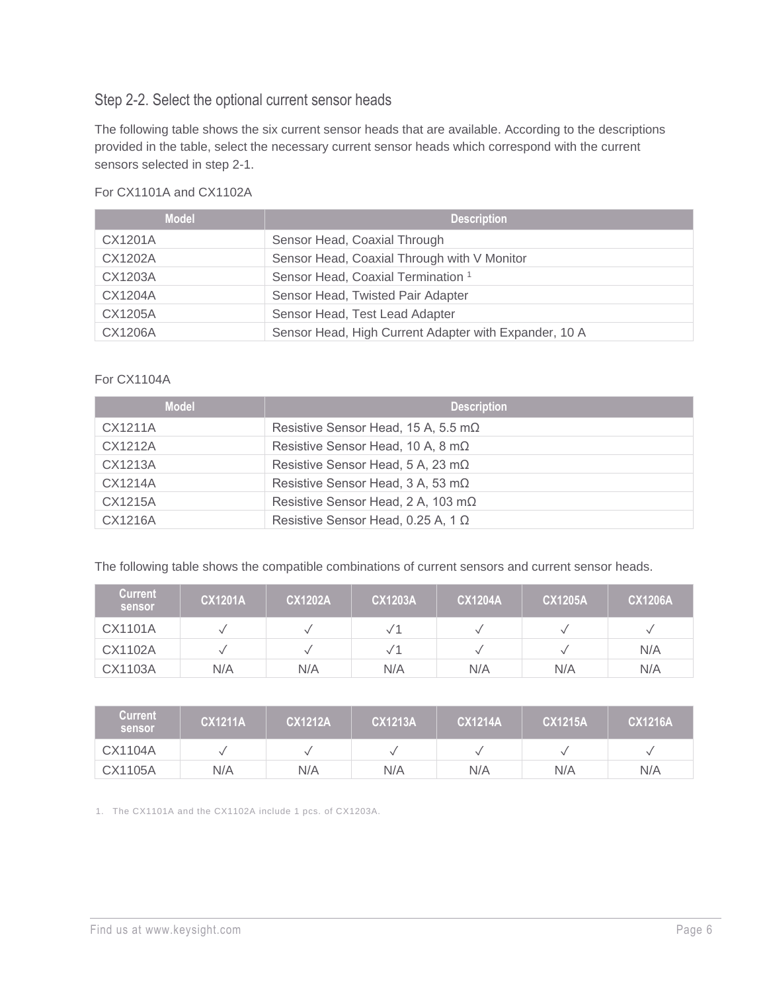## Step 2-2. Select the optional current sensor heads

The following table shows the six current sensor heads that are available. According to the descriptions provided in the table, select the necessary current sensor heads which correspond with the current sensors selected in step 2-1.

#### For CX1101A and CX1102A

| <b>Model</b> | <b>Description</b>                                    |
|--------------|-------------------------------------------------------|
| CX1201A      | Sensor Head, Coaxial Through                          |
| CX1202A      | Sensor Head, Coaxial Through with V Monitor           |
| CX1203A      | Sensor Head, Coaxial Termination <sup>1</sup>         |
| CX1204A      | Sensor Head, Twisted Pair Adapter                     |
| CX1205A      | Sensor Head, Test Lead Adapter                        |
| CX1206A      | Sensor Head, High Current Adapter with Expander, 10 A |

#### For CX1104A

| <b>Model</b> | <b>Description</b>                          |
|--------------|---------------------------------------------|
| CX1211A      | Resistive Sensor Head, 15 A, 5.5 m $\Omega$ |
| CX1212A      | Resistive Sensor Head, 10 A, 8 m $\Omega$   |
| CX1213A      | Resistive Sensor Head, 5 A, 23 m $\Omega$   |
| CX1214A      | Resistive Sensor Head, 3 A, 53 m $\Omega$   |
| CX1215A      | Resistive Sensor Head, 2 A, 103 mΩ          |
| CX1216A      | Resistive Sensor Head, 0.25 A, 1 $\Omega$   |

The following table shows the compatible combinations of current sensors and current sensor heads.

| <b>Current</b><br>sensor | <b>CX1201A</b> | <b>CX1202A</b> | <b>CX1203A</b> | <b>CX1204A</b> | <b>CX1205A</b> | <b>CX1206A</b> |
|--------------------------|----------------|----------------|----------------|----------------|----------------|----------------|
| CX1101A                  |                |                |                |                |                |                |
| CX1102A                  |                |                | $\sqrt{1}$     |                |                | N/A            |
| CX1103A                  | N/A            | N/A            | N/A            | N/A            | N/A            | N/A            |

| <b>Current</b><br>sensor | <b>CX1211A</b> | <b>CX1212A</b> | <b>CX1213A</b> | <b>CX1214A</b> | <b>CX1215A</b> | <b>CX1216A</b> |
|--------------------------|----------------|----------------|----------------|----------------|----------------|----------------|
| CX1104A                  |                |                |                |                |                |                |
| CX1105A                  | N/A            | N/A            | N/A            | N/A            | N/A            | N/A            |

1. The CX1101A and the CX1102A include 1 pcs. of CX1203A.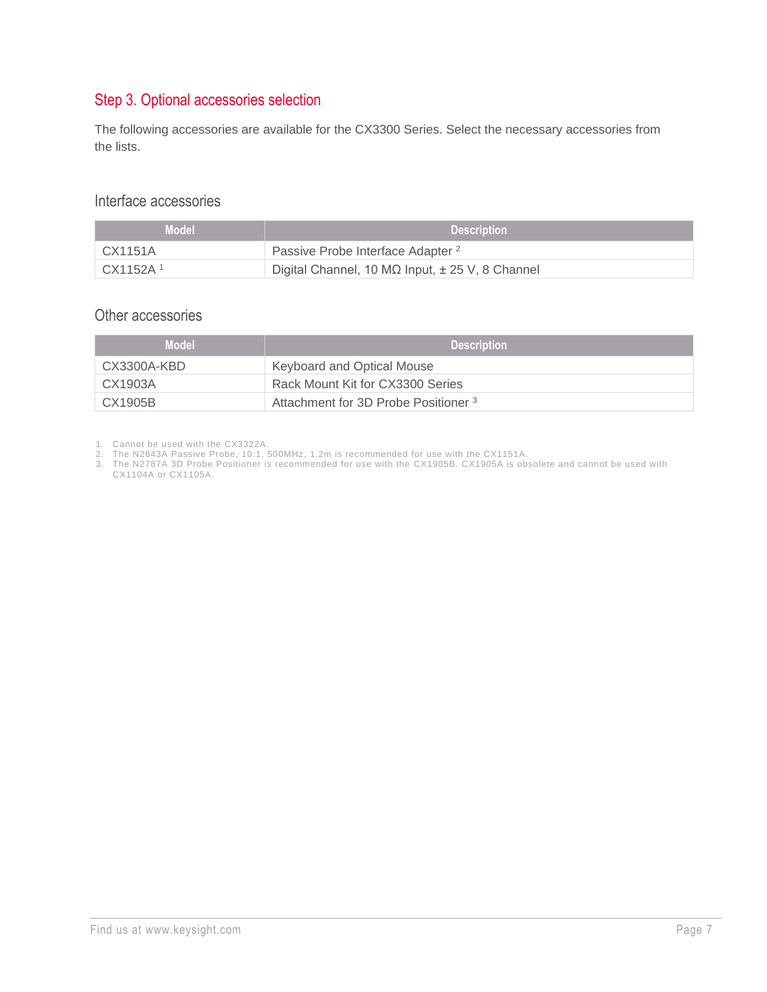## Step 3. Optional accessories selection

The following accessories are available for the CX3300 Series. Select the necessary accessories from the lists.

#### Interface accessories

| Model '               | <b>Description</b>                                          |
|-----------------------|-------------------------------------------------------------|
| $\overline{C}$ X1151A | Passive Probe Interface Adapter <sup>2</sup>                |
| CX1152A <sup>1</sup>  | Digital Channel, 10 M $\Omega$ Input, $\pm$ 25 V, 8 Channel |

## Other accessories

| <b>Model</b> | <b>Description</b>                              |
|--------------|-------------------------------------------------|
| CX3300A-KBD  | Keyboard and Optical Mouse                      |
| CX1903A      | Rack Mount Kit for CX3300 Series                |
| CX1905B      | Attachment for 3D Probe Positioner <sup>3</sup> |

1. Cannot be used with the CX3322A.

3. The N2787A 3D Probe Positioner is recommended for use with the CX1905B. CX1905A is obsolete and cannot be used with CX1104A or CX1105A.

<sup>2.</sup> The N2843A Passive Probe, 10:1, 500MHz, 1.2m is recommended for use with the CX1151A.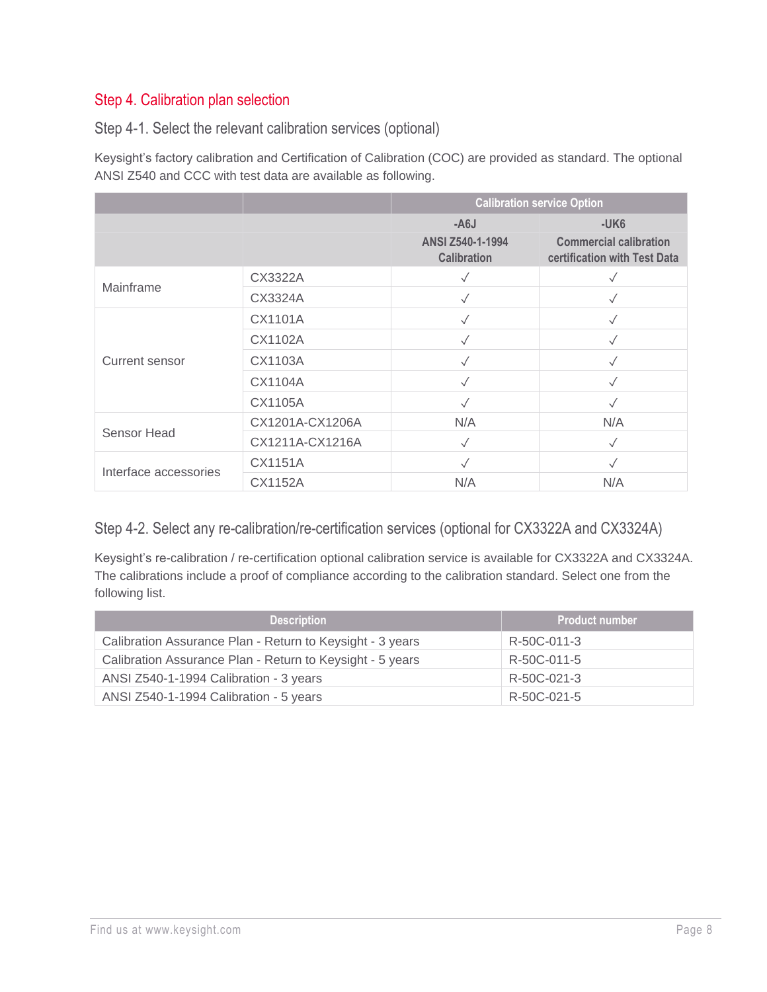## Step 4. Calibration plan selection

Step 4-1. Select the relevant calibration services (optional)

Keysight's factory calibration and Certification of Calibration (COC) are provided as standard. The optional ANSI Z540 and CCC with test data are available as following.

|                       |                 | <b>Calibration service Option</b>      |                                                               |
|-----------------------|-----------------|----------------------------------------|---------------------------------------------------------------|
|                       |                 | $- A6J$                                | $-UK6$                                                        |
|                       |                 | ANSI Z540-1-1994<br><b>Calibration</b> | <b>Commercial calibration</b><br>certification with Test Data |
| Mainframe             | CX3322A         | $\checkmark$                           |                                                               |
|                       | CX3324A         | $\sqrt{}$                              | $\checkmark$                                                  |
| Current sensor        | CX1101A         |                                        |                                                               |
|                       | CX1102A         | $\checkmark$                           | $\sqrt{}$                                                     |
|                       | CX1103A         | $\checkmark$                           | $\checkmark$                                                  |
|                       | CX1104A         | $\checkmark$                           |                                                               |
|                       | CX1105A         | $\checkmark$                           |                                                               |
| Sensor Head           | CX1201A-CX1206A | N/A                                    | N/A                                                           |
|                       | CX1211A-CX1216A | $\checkmark$                           | $\sqrt{}$                                                     |
| Interface accessories | CX1151A         |                                        |                                                               |
|                       | CX1152A         | N/A                                    | N/A                                                           |

## Step 4-2. Select any re-calibration/re-certification services (optional for CX3322A and CX3324A)

Keysight's re-calibration / re-certification optional calibration service is available for CX3322A and CX3324A. The calibrations include a proof of compliance according to the calibration standard. Select one from the following list.

| <b>Description</b>                                        | <b>Product number</b> |
|-----------------------------------------------------------|-----------------------|
| Calibration Assurance Plan - Return to Keysight - 3 years | R-50C-011-3           |
| Calibration Assurance Plan - Return to Keysight - 5 years | R-50C-011-5           |
| ANSI Z540-1-1994 Calibration - 3 years                    | R-50C-021-3           |
| ANSI Z540-1-1994 Calibration - 5 years                    | R-50C-021-5           |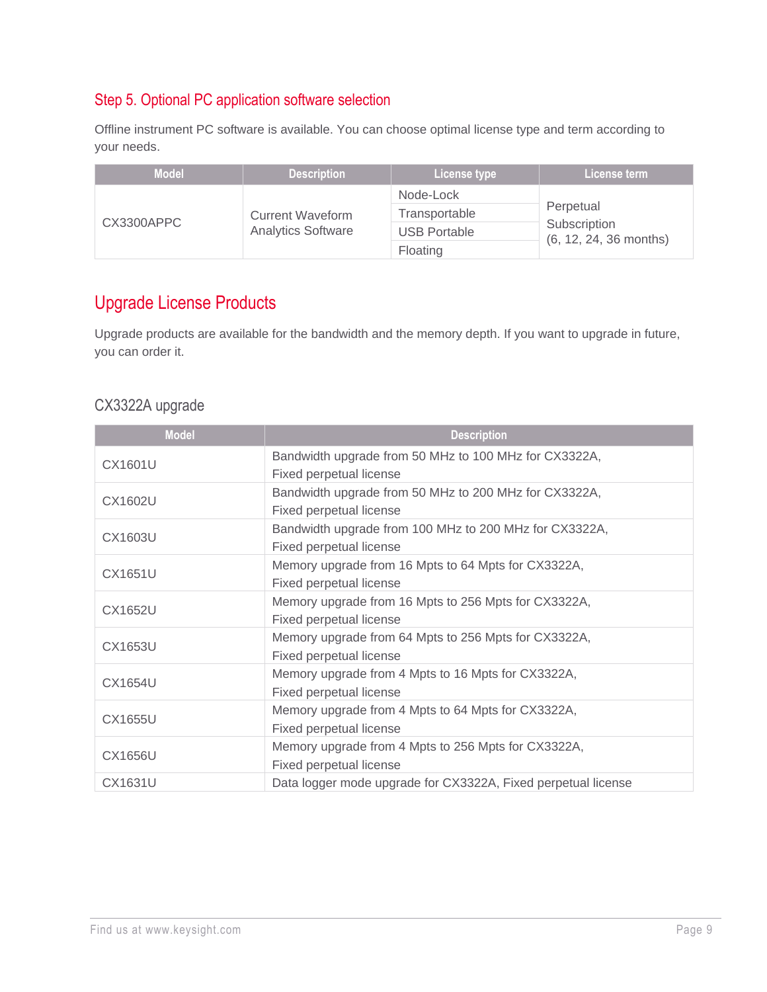## Step 5. Optional PC application software selection

Offline instrument PC software is available. You can choose optimal license type and term according to your needs.

| <b>Model</b> | <b>Description</b>                                   | License type        | License term                                          |
|--------------|------------------------------------------------------|---------------------|-------------------------------------------------------|
| CX3300APPC   | <b>Current Waveform</b><br><b>Analytics Software</b> | Node-Lock           | Perpetual<br>Subscription<br>$(6, 12, 24, 36$ months) |
|              |                                                      | Transportable       |                                                       |
|              |                                                      | <b>USB Portable</b> |                                                       |
|              |                                                      | Floating            |                                                       |

# Upgrade License Products

Upgrade products are available for the bandwidth and the memory depth. If you want to upgrade in future, you can order it.

#### CX3322A upgrade

| Model          | <b>Description</b>                                                                |  |
|----------------|-----------------------------------------------------------------------------------|--|
| CX1601U        | Bandwidth upgrade from 50 MHz to 100 MHz for CX3322A,<br>Fixed perpetual license  |  |
| CX1602U        | Bandwidth upgrade from 50 MHz to 200 MHz for CX3322A,<br>Fixed perpetual license  |  |
| CX1603U        | Bandwidth upgrade from 100 MHz to 200 MHz for CX3322A,<br>Fixed perpetual license |  |
| <b>CX1651U</b> | Memory upgrade from 16 Mpts to 64 Mpts for CX3322A,<br>Fixed perpetual license    |  |
| <b>CX1652U</b> | Memory upgrade from 16 Mpts to 256 Mpts for CX3322A,<br>Fixed perpetual license   |  |
| CX1653U        | Memory upgrade from 64 Mpts to 256 Mpts for CX3322A,<br>Fixed perpetual license   |  |
| CX1654U        | Memory upgrade from 4 Mpts to 16 Mpts for CX3322A,<br>Fixed perpetual license     |  |
| <b>CX1655U</b> | Memory upgrade from 4 Mpts to 64 Mpts for CX3322A,<br>Fixed perpetual license     |  |
| <b>CX1656U</b> | Memory upgrade from 4 Mpts to 256 Mpts for CX3322A,<br>Fixed perpetual license    |  |
| CX1631U        | Data logger mode upgrade for CX3322A, Fixed perpetual license                     |  |